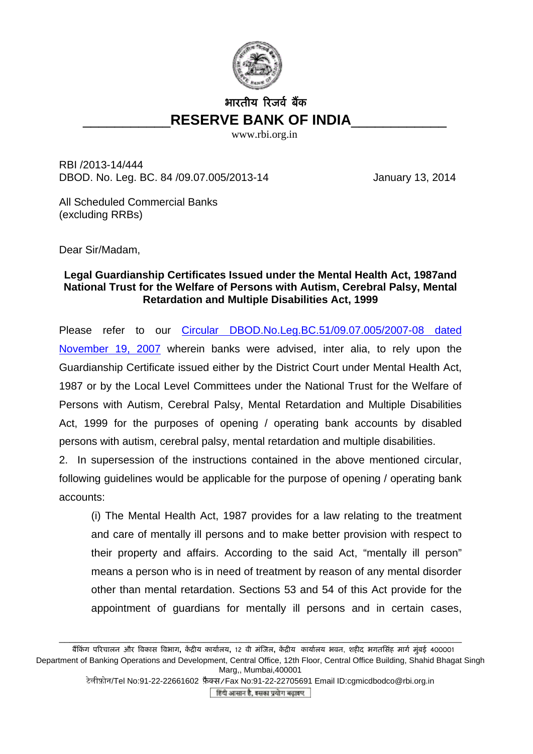

## भारतीय िरजव र् बैंक \_\_\_\_\_\_\_\_\_\_\_**RESERVE BANK OF INDIA**\_\_\_\_\_\_\_\_\_\_\_\_

www.rbi.org.in

RBI /2013-14/444 DBOD. No. Leg. BC. 84 /09.07.005/2013-14 January 13, 2014

All Scheduled Commercial Banks (excluding RRBs)

Dear Sir/Madam,

## **Legal Guardianship Certificates Issued under the Mental Health Act, 1987and National Trust for the Welfare of Persons with Autism, Cerebral Palsy, Mental Retardation and Multiple Disabilities Act, 1999**

Please refer to our [Circular DBOD.No.Leg.BC.51/09.07.005/2007-08 dated](http://rbi.org.in/scripts/NotificationUser.aspx?Id=3941&Mode=0)  [November 19, 2007](http://rbi.org.in/scripts/NotificationUser.aspx?Id=3941&Mode=0) wherein banks were advised, inter alia, to rely upon the Guardianship Certificate issued either by the District Court under Mental Health Act, 1987 or by the Local Level Committees under the National Trust for the Welfare of Persons with Autism, Cerebral Palsy, Mental Retardation and Multiple Disabilities Act, 1999 for the purposes of opening / operating bank accounts by disabled persons with autism, cerebral palsy, mental retardation and multiple disabilities.

2. In supersession of the instructions contained in the above mentioned circular, following guidelines would be applicable for the purpose of opening / operating bank accounts:

(i) The Mental Health Act, 1987 provides for a law relating to the treatment and care of mentally ill persons and to make better provision with respect to their property and affairs. According to the said Act, "mentally ill person" means a person who is in need of treatment by reason of any mental disorder other than mental retardation. Sections 53 and 54 of this Act provide for the appointment of guardians for mentally ill persons and in certain cases,

\_\_\_\_\_\_\_\_\_\_\_\_\_\_\_\_\_\_\_\_\_\_\_\_\_\_\_\_\_\_\_\_\_\_\_\_\_\_\_\_\_\_\_\_\_\_\_\_\_\_\_\_\_\_\_\_\_\_\_\_\_\_\_\_\_\_\_\_\_\_\_\_\_\_\_

बैंिकं ग पिरचालन और िवकास िवभाग**,** केंिीय कायार्लय**,** 12 वी मंिजल**,** केंिीय कायार्लय भवन, शहीद भगतिसंह मागर् मुंबई 400001 Department of Banking Operations and Development, Central Office, 12th Floor, Central Office Building, Shahid Bhagat Singh Marg,, Mumbai,400001